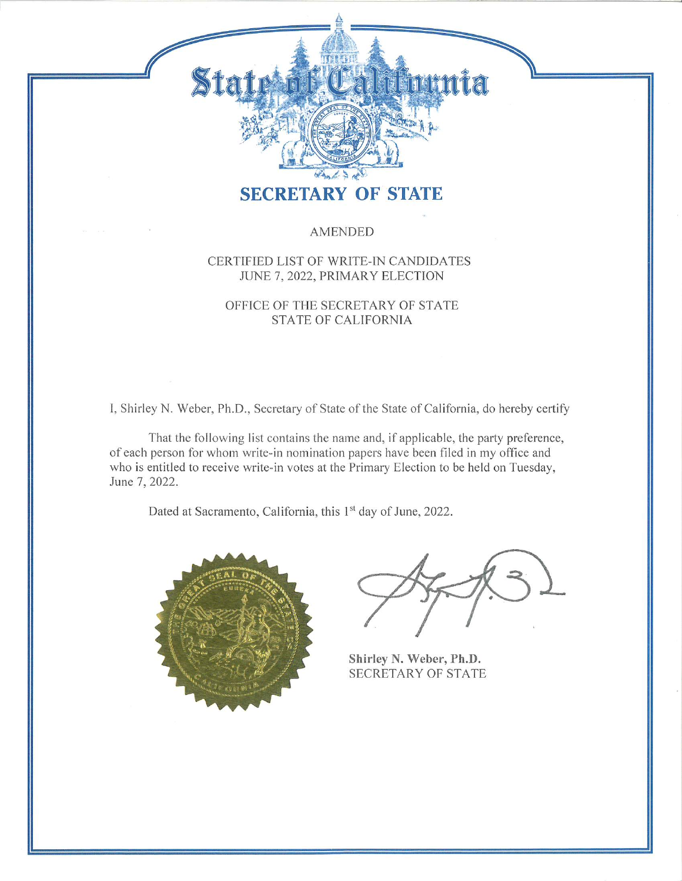# <u>Ji mithitat</u>

## **SECRETARY OF STATE**

#### **AMENDED**

#### CERTIFIED LIST OF WRITE-IN CANDIDATES JUNE 7, 2022, PRIMARY ELECTION

#### OFFICE OF THE SECRETARY OF STATE **STATE OF CALIFORNIA**

I, Shirley N. Weber, Ph.D., Secretary of State of the State of California, do hereby certify

That the following list contains the name and, if applicable, the party preference, of each person for whom write-in nomination papers have been filed in my office and who is entitled to receive write-in votes at the Primary Election to be held on Tuesday, June 7, 2022.

Dated at Sacramento, California, this 1st day of June, 2022.



Shirley N. Weber, Ph.D. **SECRETARY OF STATE**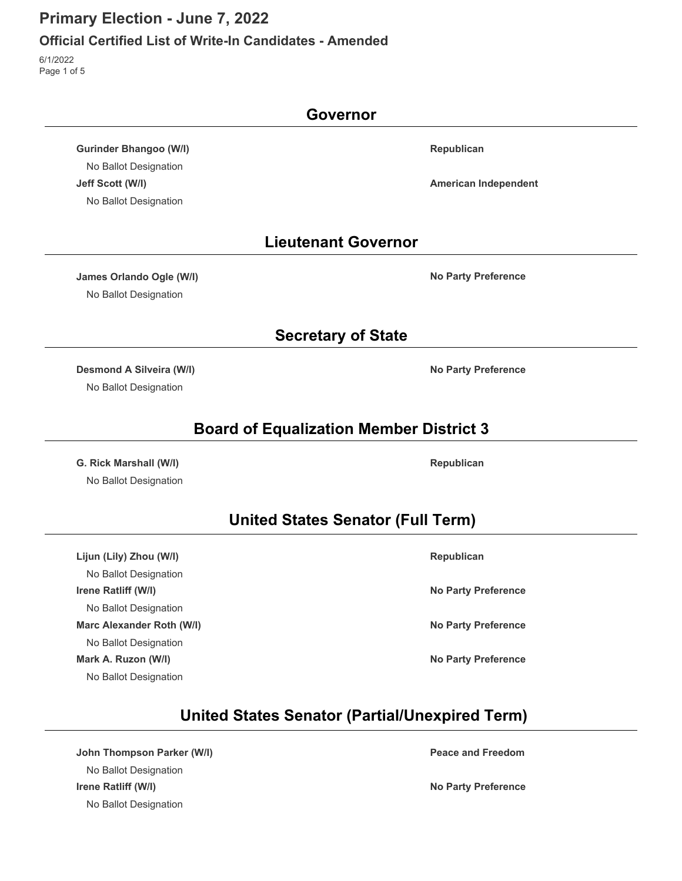#### **Official Certified List of Write-In Candidates - Amended**

6/1/2022 Page 1 of 5

|                                  | Governor                                              |
|----------------------------------|-------------------------------------------------------|
| <b>Gurinder Bhangoo (W/I)</b>    | Republican                                            |
| No Ballot Designation            |                                                       |
| Jeff Scott (W/I)                 | <b>American Independent</b>                           |
| No Ballot Designation            |                                                       |
|                                  | <b>Lieutenant Governor</b>                            |
| James Orlando Ogle (W/I)         | <b>No Party Preference</b>                            |
| No Ballot Designation            |                                                       |
|                                  | <b>Secretary of State</b>                             |
| <b>Desmond A Silveira (W/I)</b>  | <b>No Party Preference</b>                            |
| No Ballot Designation            |                                                       |
|                                  | <b>Board of Equalization Member District 3</b>        |
| G. Rick Marshall (W/I)           | Republican                                            |
| No Ballot Designation            |                                                       |
|                                  | <b>United States Senator (Full Term)</b>              |
| Lijun (Lily) Zhou (W/I)          | Republican                                            |
| No Ballot Designation            |                                                       |
| Irene Ratliff (W/I)              | <b>No Party Preference</b>                            |
| No Ballot Designation            |                                                       |
| <b>Marc Alexander Roth (W/I)</b> | <b>No Party Preference</b>                            |
| No Ballot Designation            |                                                       |
| Mark A. Ruzon (W/I)              | <b>No Party Preference</b>                            |
| No Ballot Designation            |                                                       |
|                                  | <b>United States Senator (Partial/Unexpired Term)</b> |
| John Thompson Parker (W/I)       | <b>Peace and Freedom</b>                              |

No Ballot Designation **Irene Ratliff (W/I) No Party Preference** No Ballot Designation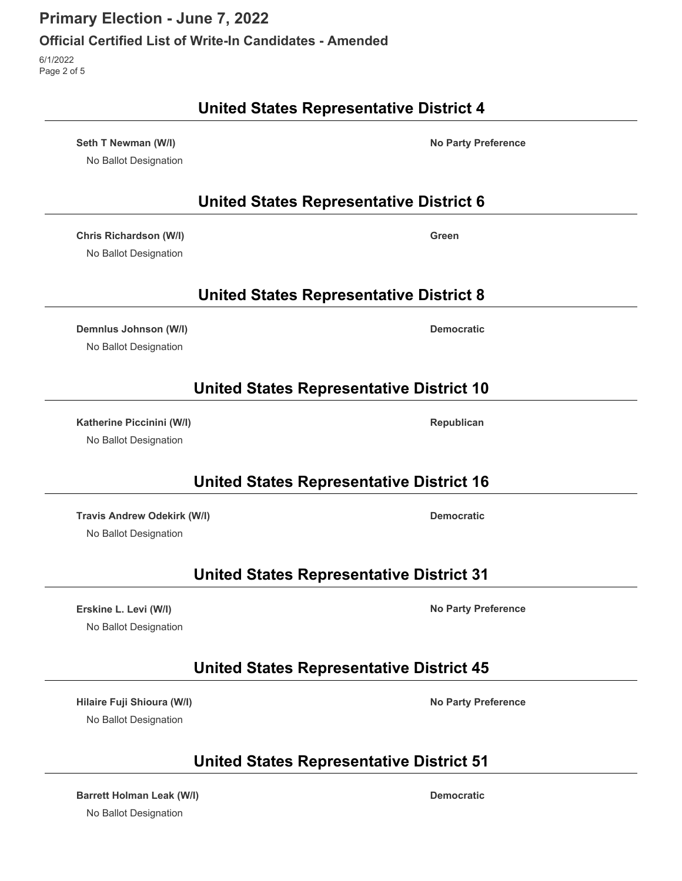#### **Official Certified List of Write-In Candidates - Amended**

6/1/2022 Page 2 of 5

#### **United States Representative District 4**

**Seth T Newman (W/I) No Party Preference** No Ballot Designation

**United States Representative District 6**

**Chris Richardson (W/I) Green**

No Ballot Designation

**United States Representative District 8**

**Demnlus Johnson (W/I) Democratic** No Ballot Designation

## **United States Representative District 10**

**Katherine Piccinini (W/I) Republican** No Ballot Designation

## **United States Representative District 16**

**Travis Andrew Odekirk (W/I) Democratic**

No Ballot Designation

## **United States Representative District 31**

**Erskine L. Levi (W/I) No Party Preference** No Ballot Designation

**United States Representative District 45**

**Hilaire Fuji Shioura (W/I) No Party Preference** No Ballot Designation

## **United States Representative District 51**

**Barrett Holman Leak (W/I) Democratic** No Ballot Designation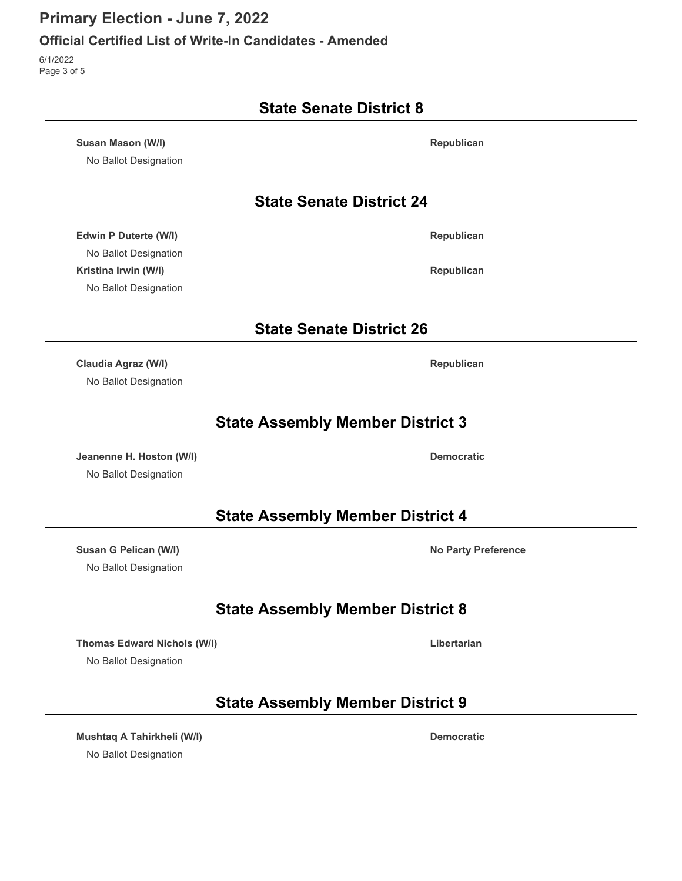#### **Official Certified List of Write-In Candidates - Amended**

6/1/2022 Page 3 of 5

|                                            | <b>State Senate District 8</b>          |
|--------------------------------------------|-----------------------------------------|
| Susan Mason (W/I)<br>No Ballot Designation | Republican                              |
|                                            | <b>State Senate District 24</b>         |
| Edwin P Duterte (W/I)                      | Republican                              |
| No Ballot Designation                      |                                         |
| Kristina Irwin (W/I)                       | Republican                              |
| No Ballot Designation                      |                                         |
|                                            | <b>State Senate District 26</b>         |
| Claudia Agraz (W/I)                        | Republican                              |
| No Ballot Designation                      |                                         |
|                                            | <b>State Assembly Member District 3</b> |
| Jeanenne H. Hoston (W/I)                   | <b>Democratic</b>                       |
| No Ballot Designation                      |                                         |
|                                            | <b>State Assembly Member District 4</b> |
| Susan G Pelican (W/I)                      | <b>No Party Preference</b>              |
| No Ballot Designation                      |                                         |
|                                            | <b>State Assembly Member District 8</b> |
| <b>Thomas Edward Nichols (W/I)</b>         | Libertarian                             |
| No Ballot Designation                      |                                         |
|                                            | <b>State Assembly Member District 9</b> |
| Mushtaq A Tahirkheli (W/I)                 | <b>Democratic</b>                       |
| No Ballot Designation                      |                                         |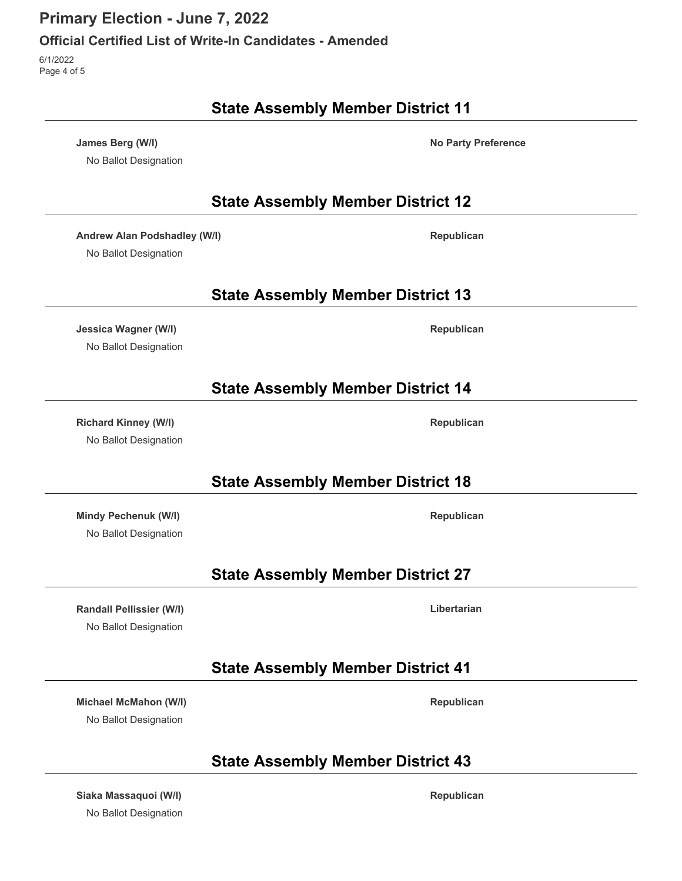#### **Official Certified List of Write-In Candidates - Amended**

6/1/2022 Page 4 of 5

 $\overline{\phantom{0}}$ 

L.

 $\overline{a}$ 

 $\overline{a}$ 

| <b>State Assembly Member District 11</b>              |                                          |                            |
|-------------------------------------------------------|------------------------------------------|----------------------------|
| James Berg (W/I)<br>No Ballot Designation             |                                          | <b>No Party Preference</b> |
|                                                       | <b>State Assembly Member District 12</b> |                            |
| Andrew Alan Podshadley (W/I)<br>No Ballot Designation |                                          | Republican                 |
|                                                       | <b>State Assembly Member District 13</b> |                            |
| <b>Jessica Wagner (W/I)</b><br>No Ballot Designation  |                                          | Republican                 |
|                                                       | <b>State Assembly Member District 14</b> |                            |
| <b>Richard Kinney (W/I)</b><br>No Ballot Designation  |                                          | Republican                 |
|                                                       | <b>State Assembly Member District 18</b> |                            |
| Mindy Pechenuk (W/I)<br>No Ballot Designation         |                                          | Republican                 |
|                                                       | <b>State Assembly Member District 27</b> |                            |
| Randall Pellissier (W/I)<br>No Ballot Designation     |                                          | Libertarian                |
|                                                       | <b>State Assembly Member District 41</b> |                            |
| Michael McMahon (W/I)<br>No Ballot Designation        |                                          | Republican                 |
|                                                       | <b>State Assembly Member District 43</b> |                            |
|                                                       |                                          |                            |

**Siaka Massaquoi (W/I) Republican** No Ballot Designation